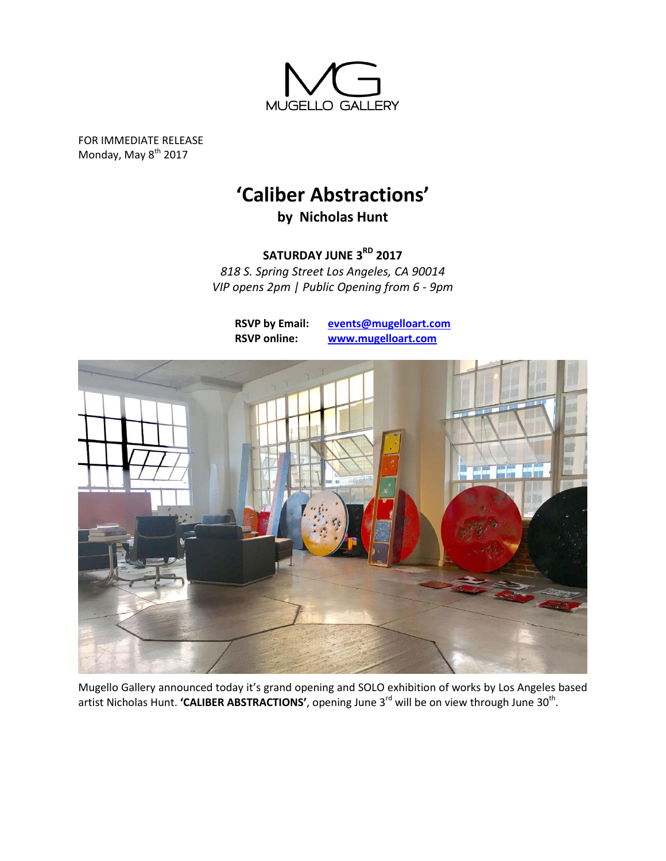

FOR IMMEDIATE RELEASE Monday, May 8<sup>th</sup> 2017

## **'Caliber Abstractions'**

**by Nicholas Hunt**

**SATURDAY JUNE 3RD 2017**

*818 S. Spring Street Los Angeles, CA 90014 VIP opens 2pm | Public Opening from 6 - 9pm*

**RSVP by Email: [events@mugelloart.com](mailto:events@mugelloart.com) RSVP online: [www.mugelloart.com](file://///psf/Dropbox/2%20-%20Mugello%20Gallery/1%20-%20Artists/2%20-%20MrHerget/5%20-%20Shows/2015_theres%20no%20place%20like%20now/www.mugelloart.com)**



Mugello Gallery announced today it's grand opening and SOLO exhibition of works by Los Angeles based artist Nicholas Hunt. **'CALIBER ABSTRACTIONS'**, opening June 3<sup>rd</sup> will be on view through June 30<sup>th</sup>.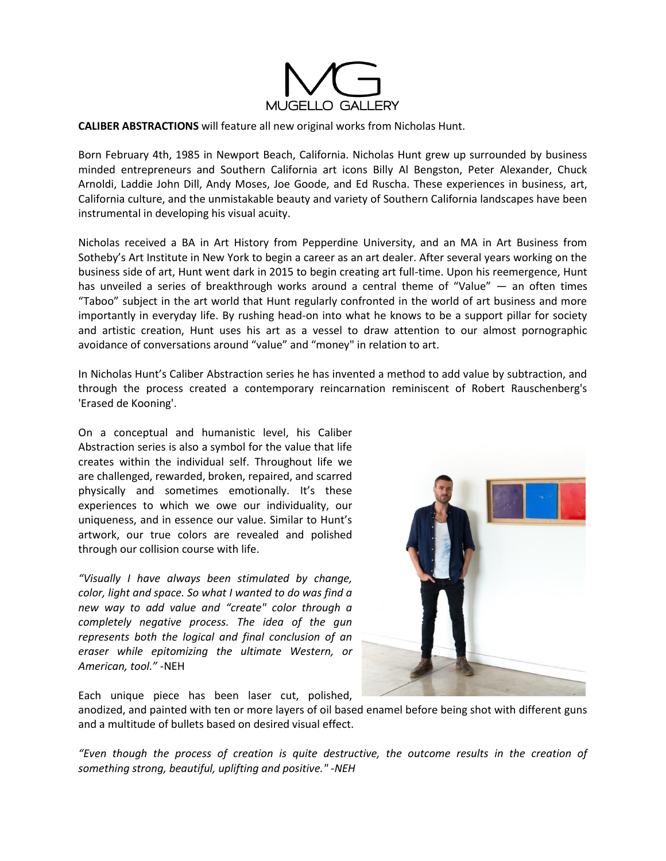

## **CALIBER ABSTRACTIONS** will feature all new original works from Nicholas Hunt.

Born February 4th, 1985 in Newport Beach, California. Nicholas Hunt grew up surrounded by business minded entrepreneurs and Southern California art icons Billy Al Bengston, Peter Alexander, Chuck Arnoldi, Laddie John Dill, Andy Moses, Joe Goode, and Ed Ruscha. These experiences in business, art, California culture, and the unmistakable beauty and variety of Southern California landscapes have been instrumental in developing his visual acuity.

Nicholas received a BA in Art History from Pepperdine University, and an MA in Art Business from Sotheby's Art Institute in New York to begin a career as an art dealer. After several years working on the business side of art, Hunt went dark in 2015 to begin creating art full-time. Upon his reemergence, Hunt has unveiled a series of breakthrough works around a central theme of "Value" — an often times "Taboo" subject in the art world that Hunt regularly confronted in the world of art business and more importantly in everyday life. By rushing head-on into what he knows to be a support pillar for society and artistic creation, Hunt uses his art as a vessel to draw attention to our almost pornographic avoidance of conversations around "value" and "money" in relation to art.

In Nicholas Hunt's Caliber Abstraction series he has invented a method to add value by subtraction, and through the process created a contemporary reincarnation reminiscent of Robert Rauschenberg's 'Erased de Kooning'.

On a conceptual and humanistic level, his Caliber Abstraction series is also a symbol for the value that life creates within the individual self. Throughout life we are challenged, rewarded, broken, repaired, and scarred physically and sometimes emotionally. It's these experiences to which we owe our individuality, our uniqueness, and in essence our value. Similar to Hunt's artwork, our true colors are revealed and polished through our collision course with life.

*"Visually I have always been stimulated by change, color, light and space. So what I wanted to do was find a new way to add value and "create" color through a completely negative process. The idea of the gun represents both the logical and final conclusion of an eraser while epitomizing the ultimate Western, or American, tool."* -NEH



Each unique piece has been laser cut, polished,

anodized, and painted with ten or more layers of oil based enamel before being shot with different guns and a multitude of bullets based on desired visual effect.

*"Even though the process of creation is quite destructive, the outcome results in the creation of something strong, beautiful, uplifting and positive." -NEH*